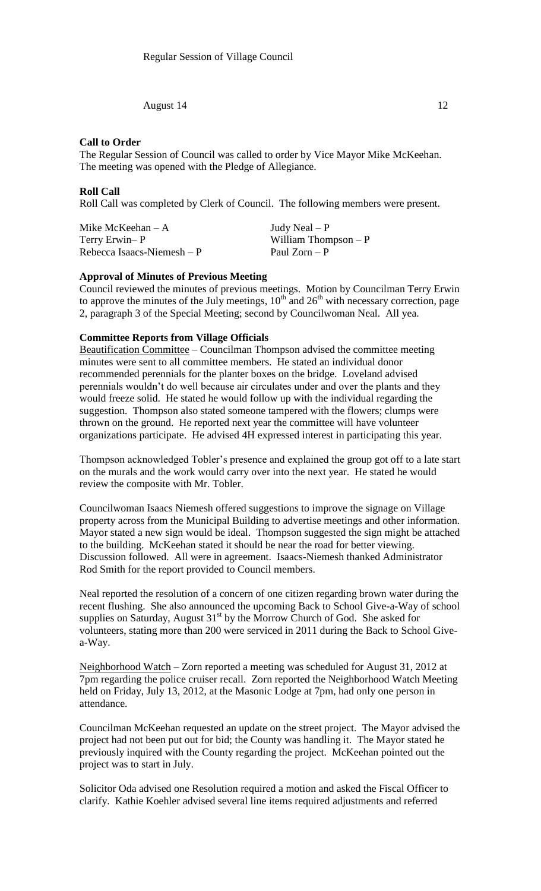August 14 12

### **Call to Order**

The Regular Session of Council was called to order by Vice Mayor Mike McKeehan. The meeting was opened with the Pledge of Allegiance.

### **Roll Call**

Roll Call was completed by Clerk of Council. The following members were present.

| Mike McKeehan $-A$         |  |
|----------------------------|--|
| Terry Erwin-P              |  |
| Rebecca Isaacs-Niemesh – P |  |

Judy Neal –  $P$ William Thompson –  $P$ Paul Zorn – P

# **Approval of Minutes of Previous Meeting**

Council reviewed the minutes of previous meetings. Motion by Councilman Terry Erwin to approve the minutes of the July meetings,  $10^{th}$  and  $26^{th}$  with necessary correction, page 2, paragraph 3 of the Special Meeting; second by Councilwoman Neal. All yea.

#### **Committee Reports from Village Officials**

Beautification Committee – Councilman Thompson advised the committee meeting minutes were sent to all committee members. He stated an individual donor recommended perennials for the planter boxes on the bridge. Loveland advised perennials wouldn't do well because air circulates under and over the plants and they would freeze solid. He stated he would follow up with the individual regarding the suggestion. Thompson also stated someone tampered with the flowers; clumps were thrown on the ground. He reported next year the committee will have volunteer organizations participate. He advised 4H expressed interest in participating this year.

Thompson acknowledged Tobler's presence and explained the group got off to a late start on the murals and the work would carry over into the next year. He stated he would review the composite with Mr. Tobler.

Councilwoman Isaacs Niemesh offered suggestions to improve the signage on Village property across from the Municipal Building to advertise meetings and other information. Mayor stated a new sign would be ideal. Thompson suggested the sign might be attached to the building. McKeehan stated it should be near the road for better viewing. Discussion followed. All were in agreement. Isaacs-Niemesh thanked Administrator Rod Smith for the report provided to Council members.

Neal reported the resolution of a concern of one citizen regarding brown water during the recent flushing. She also announced the upcoming Back to School Give-a-Way of school supplies on Saturday, August  $31<sup>st</sup>$  by the Morrow Church of God. She asked for volunteers, stating more than 200 were serviced in 2011 during the Back to School Givea-Way.

Neighborhood Watch – Zorn reported a meeting was scheduled for August 31, 2012 at 7pm regarding the police cruiser recall. Zorn reported the Neighborhood Watch Meeting held on Friday, July 13, 2012, at the Masonic Lodge at 7pm, had only one person in attendance.

Councilman McKeehan requested an update on the street project. The Mayor advised the project had not been put out for bid; the County was handling it. The Mayor stated he previously inquired with the County regarding the project. McKeehan pointed out the project was to start in July.

Solicitor Oda advised one Resolution required a motion and asked the Fiscal Officer to clarify. Kathie Koehler advised several line items required adjustments and referred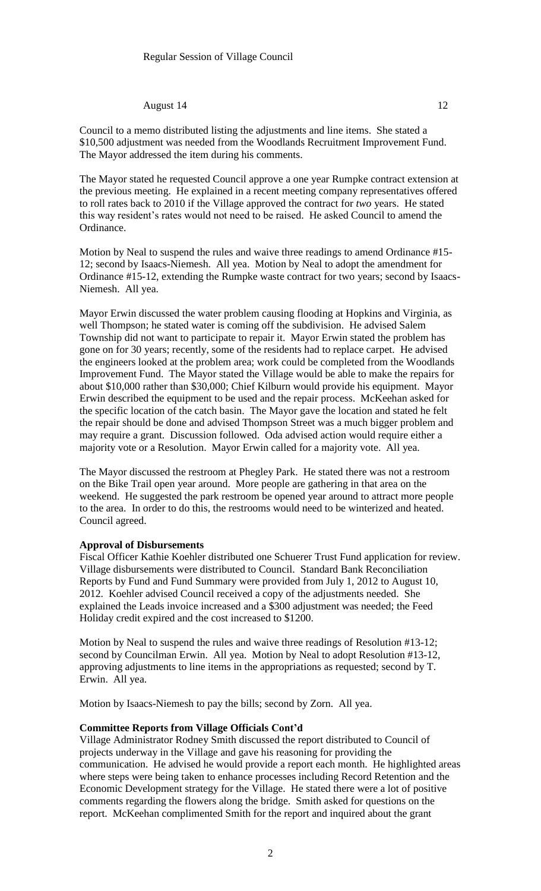#### August 14 12

Council to a memo distributed listing the adjustments and line items. She stated a \$10,500 adjustment was needed from the Woodlands Recruitment Improvement Fund. The Mayor addressed the item during his comments.

The Mayor stated he requested Council approve a one year Rumpke contract extension at the previous meeting. He explained in a recent meeting company representatives offered to roll rates back to 2010 if the Village approved the contract for *two* years. He stated this way resident's rates would not need to be raised. He asked Council to amend the Ordinance.

Motion by Neal to suspend the rules and waive three readings to amend Ordinance #15- 12; second by Isaacs-Niemesh. All yea. Motion by Neal to adopt the amendment for Ordinance #15-12, extending the Rumpke waste contract for two years; second by Isaacs-Niemesh. All yea.

Mayor Erwin discussed the water problem causing flooding at Hopkins and Virginia, as well Thompson; he stated water is coming off the subdivision. He advised Salem Township did not want to participate to repair it. Mayor Erwin stated the problem has gone on for 30 years; recently, some of the residents had to replace carpet. He advised the engineers looked at the problem area; work could be completed from the Woodlands Improvement Fund. The Mayor stated the Village would be able to make the repairs for about \$10,000 rather than \$30,000; Chief Kilburn would provide his equipment. Mayor Erwin described the equipment to be used and the repair process. McKeehan asked for the specific location of the catch basin. The Mayor gave the location and stated he felt the repair should be done and advised Thompson Street was a much bigger problem and may require a grant. Discussion followed. Oda advised action would require either a majority vote or a Resolution. Mayor Erwin called for a majority vote. All yea.

The Mayor discussed the restroom at Phegley Park. He stated there was not a restroom on the Bike Trail open year around. More people are gathering in that area on the weekend. He suggested the park restroom be opened year around to attract more people to the area. In order to do this, the restrooms would need to be winterized and heated. Council agreed.

#### **Approval of Disbursements**

Fiscal Officer Kathie Koehler distributed one Schuerer Trust Fund application for review. Village disbursements were distributed to Council. Standard Bank Reconciliation Reports by Fund and Fund Summary were provided from July 1, 2012 to August 10, 2012. Koehler advised Council received a copy of the adjustments needed. She explained the Leads invoice increased and a \$300 adjustment was needed; the Feed Holiday credit expired and the cost increased to \$1200.

Motion by Neal to suspend the rules and waive three readings of Resolution #13-12; second by Councilman Erwin. All yea. Motion by Neal to adopt Resolution #13-12, approving adjustments to line items in the appropriations as requested; second by T. Erwin. All yea.

Motion by Isaacs-Niemesh to pay the bills; second by Zorn. All yea.

### **Committee Reports from Village Officials Cont'd**

Village Administrator Rodney Smith discussed the report distributed to Council of projects underway in the Village and gave his reasoning for providing the communication. He advised he would provide a report each month. He highlighted areas where steps were being taken to enhance processes including Record Retention and the Economic Development strategy for the Village. He stated there were a lot of positive comments regarding the flowers along the bridge. Smith asked for questions on the report. McKeehan complimented Smith for the report and inquired about the grant